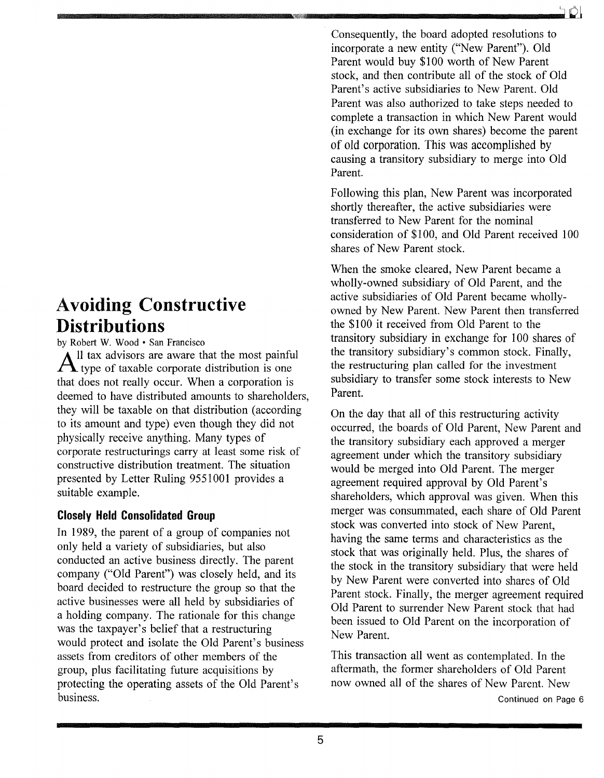# **Avoiding Constructive Distributions**

by Robert W. Wood· San Francisco

Il tax advisors are aware that the most painful  $A$  type of taxable corporate distribution is one that does not really occur. When a corporation is deemed to have distributed amounts to shareholders, they will be taxable on that distribution (according to its amount and type) even though they did not physically receive anything. Many types of corporate restructurings carry at least some risk of constructive distribution treatment. The situation presented by Letter Ruling 9551001 provides a suitable example.

### **Closely Held Consolidated Group**

In 1989, the parent of a group of companies not only held a variety of subsidiaries, but also conducted an active business directly. The parent company ("Old Parent") was closely held, and its board decided to restructure the group so that the active businesses were all held by subsidiaries of a holding company. The rationale for this change was the taxpayer's belief that a restructuring would protect and isolate the Old Parent's business assets from creditors of other members of the group, plus facilitating future acquisitions by protecting the operating assets of the Old Parent's business.

Consequently, the board adopted resolutions to incorporate a new entity ("New Parent"). Old Parent would buy \$100 worth of New Parent stock, and then contribute all of the stock of Old Parent's active subsidiaries to New Parent. Old Parent was also authorized to take steps needed to complete a transaction in which New Parent would (in exchange for its own shares) become the parent of old corporation. This was accomplished by causing a transitory subsidiary to merge into Old Parent.

Following this plan, New Parent was incorporated shortly thereafter, the active subsidiaries were transferred to New Parent for the nominal consideration of \$100, and Old Parent received 100 shares of New Parent stock.

When the smoke cleared, New Parent became a wholly-owned subsidiary of Old Parent, and the active subsidiaries of Old Parent became whollyowned by New Parent. New Parent then transferred the \$100 it received from Old Parent to the transitory subsidiary in exchange for 100 shares of the transitory subsidiary's common stock. Finally, the restructuring plan called for the investment subsidiary to transfer some stock interests to New Parent.

On the day that all of this restructuring activity occurred, the boards of Old Parent, New Parent and the transitory subsidiary each approved a merger agreement under which the transitory subsidiary would be merged into Old Parent. The merger agreement required approval by Old Parent's shareholders, which approval was given. When this merger was consummated, each share of Old Parent stock was converted into stock of New Parent, having the same terms and characteristics as the stock that was originally held. Plus, the shares of the stock in the transitory subsidiary that were held by New Parent were converted into shares of Old Parent stock. Finally, the merger agreement required Old Parent to surrender New Parent stock that had been issued to Old Parent on the incorporation of New Parent.

This transaction all went as contemplated. In the aftermath, the former shareholders of Old Parent now owned all of the shares of New Parent. New